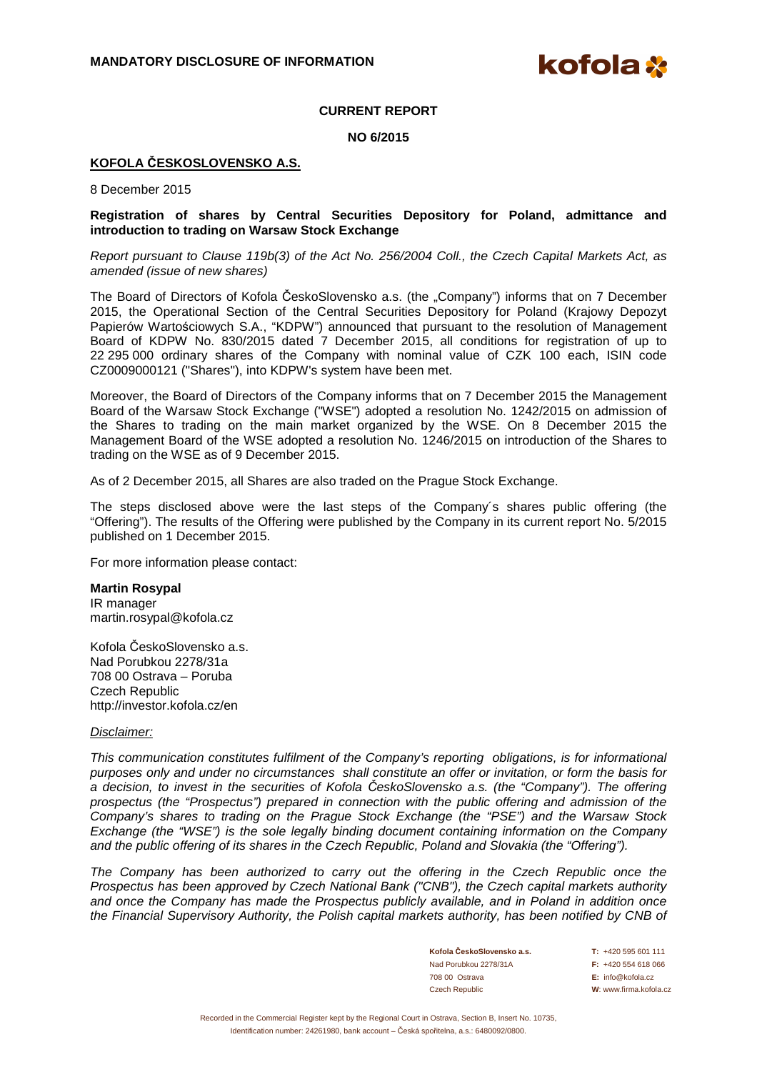kofola **X** 

## **CURRENT REPORT**

**NO 6/2015** 

# **KOFOLA ČESKOSLOVENSKO A.S.**

8 December 2015

### **Registration of shares by Central Securities Depository for Poland, admittance and introduction to trading on Warsaw Stock Exchange**

Report pursuant to Clause 119b(3) of the Act No. 256/2004 Coll., the Czech Capital Markets Act, as amended (issue of new shares)

The Board of Directors of Kofola ČeskoSlovensko a.s. (the "Company") informs that on 7 December 2015, the Operational Section of the Central Securities Depository for Poland (Krajowy Depozyt Papierów Wartościowych S.A., "KDPW") announced that pursuant to the resolution of Management Board of KDPW No. 830/2015 dated 7 December 2015, all conditions for registration of up to 22 295 000 ordinary shares of the Company with nominal value of CZK 100 each, ISIN code CZ0009000121 ("Shares"), into KDPW's system have been met.

Moreover, the Board of Directors of the Company informs that on 7 December 2015 the Management Board of the Warsaw Stock Exchange ("WSE") adopted a resolution No. 1242/2015 on admission of the Shares to trading on the main market organized by the WSE. On 8 December 2015 the Management Board of the WSE adopted a resolution No. 1246/2015 on introduction of the Shares to trading on the WSE as of 9 December 2015.

As of 2 December 2015, all Shares are also traded on the Prague Stock Exchange.

The steps disclosed above were the last steps of the Company´s shares public offering (the "Offering"). The results of the Offering were published by the Company in its current report No. 5/2015 published on 1 December 2015.

For more information please contact:

#### **Martin Rosypal**

IR manager martin.rosypal@kofola.cz

Kofola ČeskoSlovensko a.s. Nad Porubkou 2278/31a 708 00 Ostrava – Poruba Czech Republic http://investor.kofola.cz/en

#### Disclaimer:

This communication constitutes fulfilment of the Company's reporting obligations, is for informational purposes only and under no circumstances shall constitute an offer or invitation, or form the basis for a decision, to invest in the securities of Kofola *Č*eskoSlovensko a.s. (the "Company"). The offering prospectus (the "Prospectus") prepared in connection with the public offering and admission of the Company's shares to trading on the Prague Stock Exchange (the "PSE") and the Warsaw Stock Exchange (the "WSE") is the sole legally binding document containing information on the Company and the public offering of its shares in the Czech Republic, Poland and Slovakia (the "Offering").

The Company has been authorized to carry out the offering in the Czech Republic once the Prospectus has been approved by Czech National Bank ("CNB"), the Czech capital markets authority and once the Company has made the Prospectus publicly available, and in Poland in addition once the Financial Supervisory Authority, the Polish capital markets authority, has been notified by CNB of

> **Kofola ČeskoSlovensko a.s. T:** +420 595 601 111 Nad Porubkou 2278/31A **F:** +420 554 618 066 708 00 Ostrava **E:** info@kofola.cz Czech Republic **W**: www.firma.kofola.cz